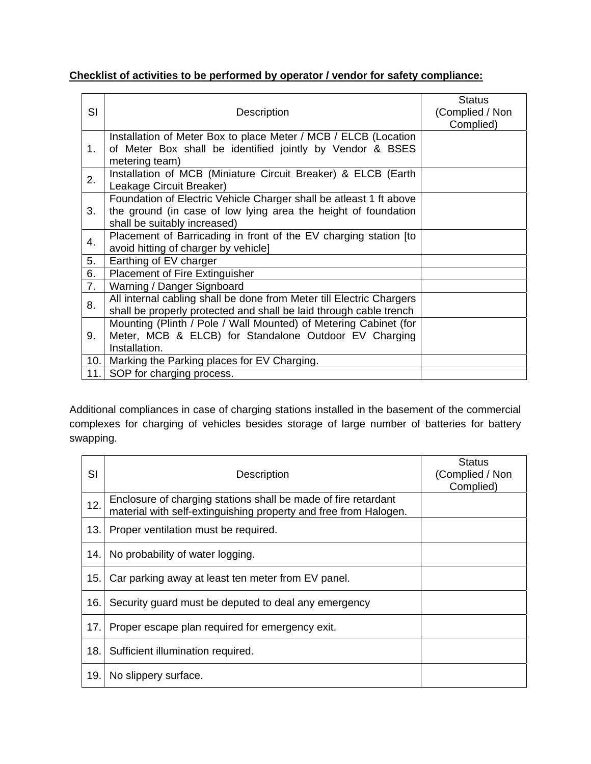## **Checklist of activities to be performed by operator / vendor for safety compliance:**

|           |                                                                      | <b>Status</b>   |
|-----------|----------------------------------------------------------------------|-----------------|
| <b>SI</b> | Description                                                          | (Complied / Non |
|           |                                                                      | Complied)       |
| 1.        | Installation of Meter Box to place Meter / MCB / ELCB (Location      |                 |
|           | of Meter Box shall be identified jointly by Vendor & BSES            |                 |
|           | metering team)                                                       |                 |
| 2.        | Installation of MCB (Miniature Circuit Breaker) & ELCB (Earth        |                 |
|           | Leakage Circuit Breaker)                                             |                 |
|           | Foundation of Electric Vehicle Charger shall be atleast 1 ft above   |                 |
| 3.        | the ground (in case of low lying area the height of foundation       |                 |
|           | shall be suitably increased)                                         |                 |
| 4.        | Placement of Barricading in front of the EV charging station [to     |                 |
|           | avoid hitting of charger by vehicle]                                 |                 |
| 5.        | Earthing of EV charger                                               |                 |
| 6.        | <b>Placement of Fire Extinguisher</b>                                |                 |
| 7.        | Warning / Danger Signboard                                           |                 |
|           | All internal cabling shall be done from Meter till Electric Chargers |                 |
| 8.        | shall be properly protected and shall be laid through cable trench   |                 |
| 9.        | Mounting (Plinth / Pole / Wall Mounted) of Metering Cabinet (for     |                 |
|           | Meter, MCB & ELCB) for Standalone Outdoor EV Charging                |                 |
|           | Installation.                                                        |                 |
| 10.       | Marking the Parking places for EV Charging.                          |                 |
| 11.       | SOP for charging process.                                            |                 |

Additional compliances in case of charging stations installed in the basement of the commercial complexes for charging of vehicles besides storage of large number of batteries for battery swapping.

| SI  | Description                                                                                                                        | <b>Status</b><br>(Complied / Non<br>Complied) |
|-----|------------------------------------------------------------------------------------------------------------------------------------|-----------------------------------------------|
| 12. | Enclosure of charging stations shall be made of fire retardant<br>material with self-extinguishing property and free from Halogen. |                                               |
| 13. | Proper ventilation must be required.                                                                                               |                                               |
| 14. | No probability of water logging.                                                                                                   |                                               |
| 15. | Car parking away at least ten meter from EV panel.                                                                                 |                                               |
| 16. | Security guard must be deputed to deal any emergency                                                                               |                                               |
| 17. | Proper escape plan required for emergency exit.                                                                                    |                                               |
| 18. | Sufficient illumination required.                                                                                                  |                                               |
| 19. | No slippery surface.                                                                                                               |                                               |